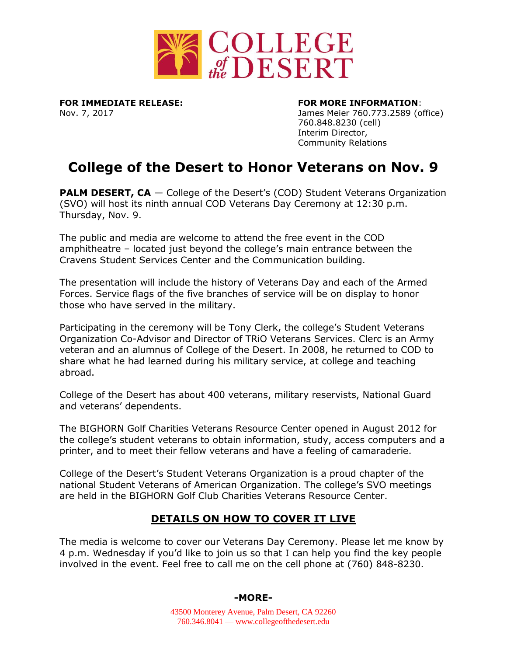

**FOR IMMEDIATE RELEASE: FOR MORE INFORMATION**:

Nov. 7, 2017 James Meier 760.773.2589 (office) 760.848.8230 (cell) Interim Director, Community Relations

# **College of the Desert to Honor Veterans on Nov. 9**

**PALM DESERT, CA** — College of the Desert's (COD) Student Veterans Organization (SVO) will host its ninth annual COD Veterans Day Ceremony at 12:30 p.m. Thursday, Nov. 9.

The public and media are welcome to attend the free event in the COD amphitheatre – located just beyond the college's main entrance between the Cravens Student Services Center and the Communication building.

The presentation will include the history of Veterans Day and each of the Armed Forces. Service flags of the five branches of service will be on display to honor those who have served in the military.

Participating in the ceremony will be Tony Clerk, the college's Student Veterans Organization Co-Advisor and Director of TRiO Veterans Services. Clerc is an Army veteran and an alumnus of College of the Desert. In 2008, he returned to COD to share what he had learned during his military service, at college and teaching abroad.

College of the Desert has about 400 veterans, military reservists, National Guard and veterans' dependents.

The BIGHORN Golf Charities Veterans Resource Center opened in August 2012 for the college's student veterans to obtain information, study, access computers and a printer, and to meet their fellow veterans and have a feeling of camaraderie.

College of the Desert's Student Veterans Organization is a proud chapter of the national Student Veterans of American Organization. The college's SVO meetings are held in the BIGHORN Golf Club Charities Veterans Resource Center.

# **DETAILS ON HOW TO COVER IT LIVE**

The media is welcome to cover our Veterans Day Ceremony. Please let me know by 4 p.m. Wednesday if you'd like to join us so that I can help you find the key people involved in the event. Feel free to call me on the cell phone at (760) 848-8230.

## **-MORE-**